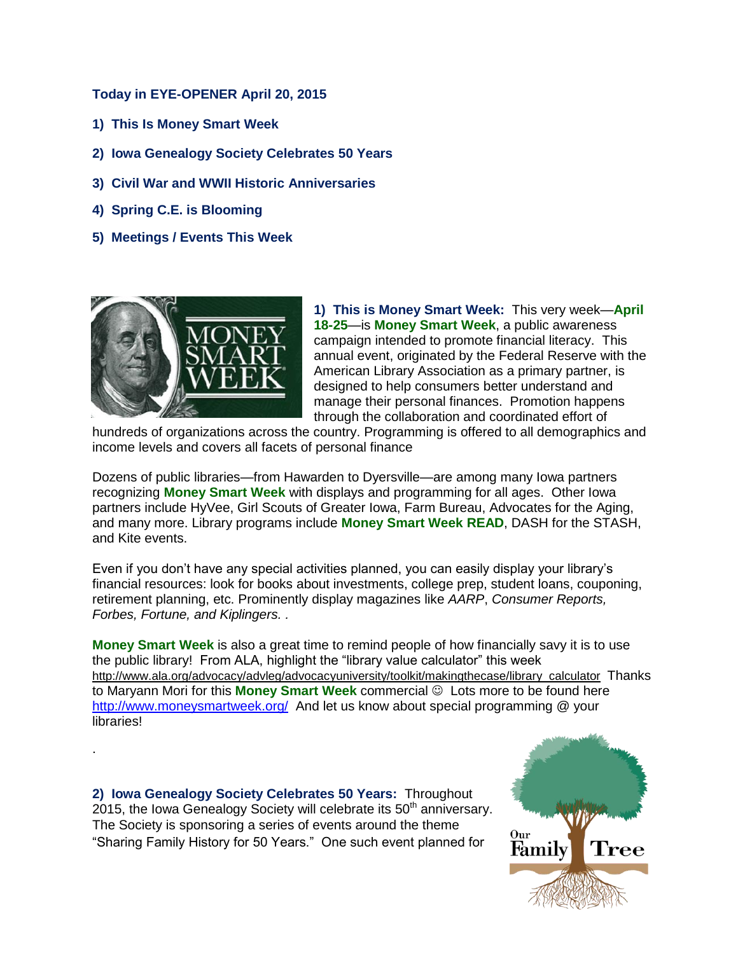## **Today in EYE-OPENER April 20, 2015**

- **1) This Is Money Smart Week**
- **2) Iowa Genealogy Society Celebrates 50 Years**
- **3) Civil War and WWII Historic Anniversaries**
- **4) Spring C.E. is Blooming**
- **5) Meetings / Events This Week**



.

**1) This is Money Smart Week:** This very week—**April 18-25**—is **Money Smart Week**, a public awareness campaign intended to promote financial literacy. This annual event, originated by the Federal Reserve with the American Library Association as a primary partner, is designed to help consumers better understand and manage their personal finances. Promotion happens through the collaboration and coordinated effort of

hundreds of organizations across the country. Programming is offered to all demographics and income levels and covers all facets of personal finance

Dozens of public libraries—from Hawarden to Dyersville—are among many Iowa partners recognizing **Money Smart Week** with displays and programming for all ages. Other Iowa partners include HyVee, Girl Scouts of Greater Iowa, Farm Bureau, Advocates for the Aging, and many more. Library programs include **Money Smart Week READ**, DASH for the STASH, and Kite events.

Even if you don't have any special activities planned, you can easily display your library's financial resources: look for books about investments, college prep, student loans, couponing, retirement planning, etc. Prominently display magazines like *AARP*, *Consumer Reports, Forbes, Fortune, and Kiplingers. .*

**Money Smart Week** is also a great time to remind people of how financially savy it is to use the public library! From ALA, highlight the "library value calculator" this week [http://www.ala.org/advocacy/advleg/advocacyuniversity/toolkit/makingthecase/library\\_calculator](http://www.ala.org/advocacy/advleg/advocacyuniversity/toolkit/makingthecase/library_calculator) Thanks to Maryann Mori for this **Money Smart Week** commercial  $\odot$  Lots more to be found here <http://www.moneysmartweek.org/>And let us know about special programming @ your **libraries!** 

**2) Iowa Genealogy Society Celebrates 50 Years:** Throughout 2015, the Iowa Genealogy Society will celebrate its  $50<sup>th</sup>$  anniversary. The Society is sponsoring a series of events around the theme "Sharing Family History for 50 Years." One such event planned for

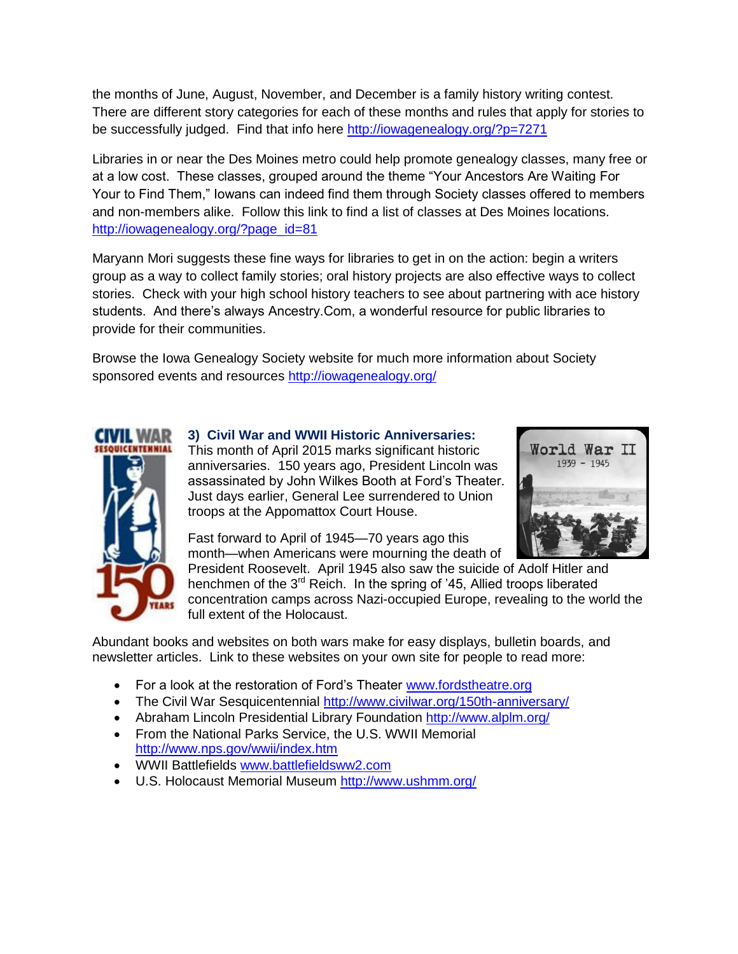the months of June, August, November, and December is a family history writing contest. There are different story categories for each of these months and rules that apply for stories to be successfully judged. Find that info here<http://iowagenealogy.org/?p=7271>

Libraries in or near the Des Moines metro could help promote genealogy classes, many free or at a low cost. These classes, grouped around the theme "Your Ancestors Are Waiting For Your to Find Them," Iowans can indeed find them through Society classes offered to members and non-members alike. Follow this link to find a list of classes at Des Moines locations. [http://iowagenealogy.org/?page\\_id=81](http://iowagenealogy.org/?page_id=81)

Maryann Mori suggests these fine ways for libraries to get in on the action: begin a writers group as a way to collect family stories; oral history projects are also effective ways to collect stories. Check with your high school history teachers to see about partnering with ace history students. And there's always Ancestry.Com, a wonderful resource for public libraries to provide for their communities.

Browse the Iowa Genealogy Society website for much more information about Society sponsored events and resources<http://iowagenealogy.org/>



**3) Civil War and WWII Historic Anniversaries:**  This month of April 2015 marks significant historic anniversaries. 150 years ago, President Lincoln was assassinated by John Wilkes Booth at Ford's Theater. Just days earlier, General Lee surrendered to Union



Fast forward to April of 1945—70 years ago this month—when Americans were mourning the death of

troops at the Appomattox Court House.

President Roosevelt. April 1945 also saw the suicide of Adolf Hitler and henchmen of the  $3<sup>rd</sup>$  Reich. In the spring of '45, Allied troops liberated concentration camps across Nazi-occupied Europe, revealing to the world the full extent of the Holocaust.

Abundant books and websites on both wars make for easy displays, bulletin boards, and newsletter articles. Link to these websites on your own site for people to read more:

- For a look at the restoration of Ford's Theater [www.fordstheatre.org](http://www.fordstheatre.org/)
- The Civil War Sesquicentennial<http://www.civilwar.org/150th-anniversary/>
- Abraham Lincoln Presidential Library Foundation<http://www.alplm.org/>
- From the National Parks Service, the U.S. WWII Memorial <http://www.nps.gov/wwii/index.htm>
- WWII Battlefields [www.battlefieldsww2.com](http://www.battlefieldsww2.com/)
- U.S. Holocaust Memorial Museum<http://www.ushmm.org/>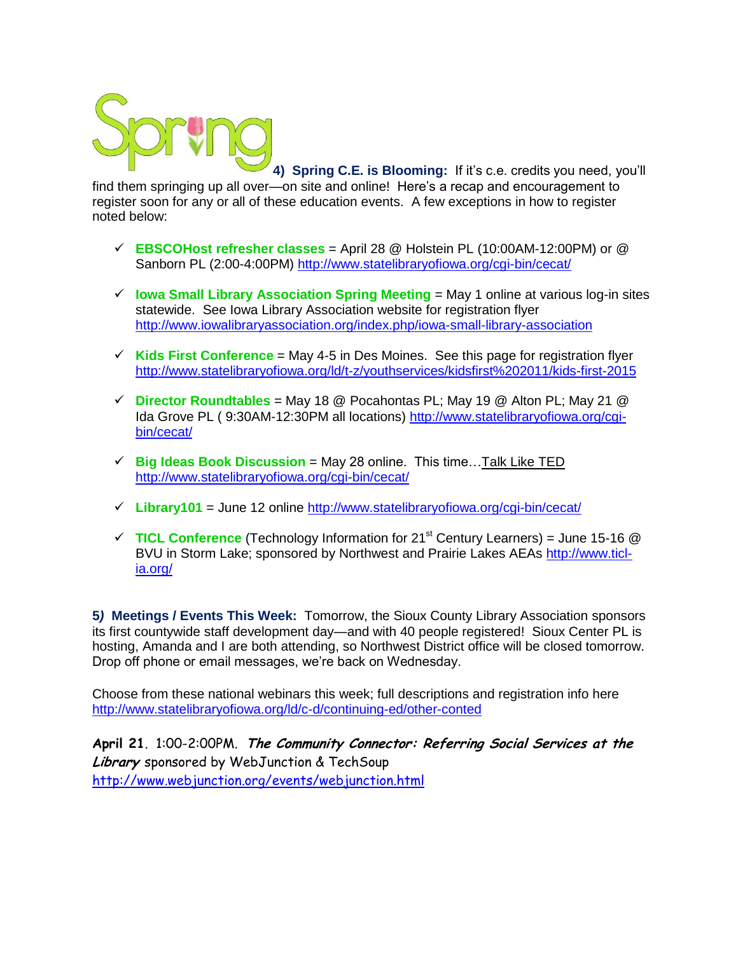

**4) Spring C.E. is Blooming:** If it's c.e. credits you need, you'll

find them springing up all over—on site and online! Here's a recap and encouragement to register soon for any or all of these education events. A few exceptions in how to register noted below:

- **EBSCOHost refresher classes** = April 28 @ Holstein PL (10:00AM-12:00PM) or @ Sanborn PL (2:00-4:00PM) <http://www.statelibraryofiowa.org/cgi-bin/cecat/>
- $\checkmark$  lowa Small Library Association Spring Meeting  $=$  May 1 online at various log-in sites statewide. See Iowa Library Association website for registration flyer <http://www.iowalibraryassociation.org/index.php/iowa-small-library-association>
- $\checkmark$  Kids First Conference = May 4-5 in Des Moines. See this page for registration flyer <http://www.statelibraryofiowa.org/ld/t-z/youthservices/kidsfirst%202011/kids-first-2015>
- $\checkmark$  Director Roundtables = May 18 @ Pocahontas PL; May 19 @ Alton PL; May 21 @ Ida Grove PL ( 9:30AM-12:30PM all locations) [http://www.statelibraryofiowa.org/cgi](http://www.statelibraryofiowa.org/cgi-bin/cecat/)[bin/cecat/](http://www.statelibraryofiowa.org/cgi-bin/cecat/)
- $\checkmark$  **Big Ideas Book Discussion** = May 28 online. This time... Talk Like TED <http://www.statelibraryofiowa.org/cgi-bin/cecat/>
- $\checkmark$  Library101 = June 12 online <http://www.statelibraryofiowa.org/cgi-bin/cecat/>
- $\checkmark$  TICL Conference (Technology Information for 21<sup>st</sup> Century Learners) = June 15-16  $\circledR$ BVU in Storm Lake; sponsored by Northwest and Prairie Lakes AEAs [http://www.ticl](http://www.ticl-ia.org/)[ia.org/](http://www.ticl-ia.org/)

**5***)* **Meetings / Events This Week:** Tomorrow, the Sioux County Library Association sponsors its first countywide staff development day—and with 40 people registered! Sioux Center PL is hosting, Amanda and I are both attending, so Northwest District office will be closed tomorrow. Drop off phone or email messages, we're back on Wednesday.

Choose from these national webinars this week; full descriptions and registration info here <http://www.statelibraryofiowa.org/ld/c-d/continuing-ed/other-conted>

**April 21**. 1:00-2:00PM. **The Community Connector: Referring Social Services at the Library** sponsored by WebJunction & TechSoup <http://www.webjunction.org/events/webjunction.html>